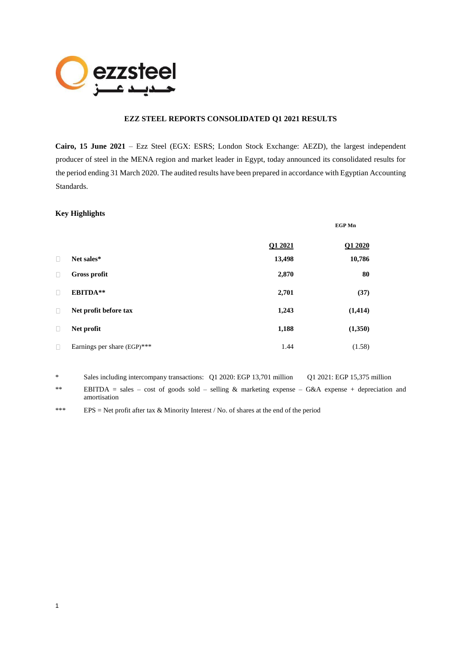

## **EZZ STEEL REPORTS CONSOLIDATED Q1 2021 RESULTS**

**Cairo, 15 June 2021** – Ezz Steel (EGX: ESRS; London Stock Exchange: AEZD), the largest independent producer of steel in the MENA region and market leader in Egypt, today announced its consolidated results for the period ending 31 March 2020. The audited results have been prepared in accordance with Egyptian Accounting Standards.

## **Key Highlights**

1

|        |                             |         | <b>EGP Mn</b> |
|--------|-----------------------------|---------|---------------|
|        |                             | Q1 2021 | Q1 2020       |
| $\Box$ | Net sales*                  | 13,498  | 10,786        |
| $\Box$ | <b>Gross profit</b>         | 2,870   | 80            |
| $\Box$ | EBITDA**                    | 2,701   | (37)          |
| $\Box$ | Net profit before tax       | 1,243   | (1, 414)      |
| $\Box$ | Net profit                  | 1,188   | (1,350)       |
| $\Box$ | Earnings per share (EGP)*** | 1.44    | (1.58)        |

\* Sales including intercompany transactions: Q1 2020: EGP 13,701 million Q1 2021: EGP 15,375 million \*\* EBITDA = sales – cost of goods sold – selling & marketing expense – G&A expense + depreciation and amortisation

\*\*\* EPS = Net profit after tax & Minority Interest / No. of shares at the end of the period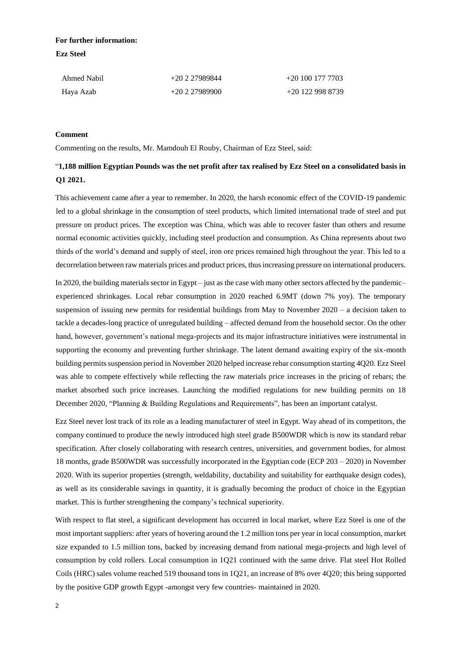# **For further information: Ezz Steel**

| Ahmed Nabil | +20 2 27989844 | $+201001777703$ |
|-------------|----------------|-----------------|
| Haya Azab   | $+20227989900$ | $+201229988739$ |

#### **Comment**

Commenting on the results, Mr. Mamdouh El Rouby, Chairman of Ezz Steel, said:

# "**1,188 million Egyptian Pounds was the net profit after tax realised by Ezz Steel on a consolidated basis in Q1 2021.**

This achievement came after a year to remember. In 2020, the harsh economic effect of the COVID-19 pandemic led to a global shrinkage in the consumption of steel products, which limited international trade of steel and put pressure on product prices. The exception was China, which was able to recover faster than others and resume normal economic activities quickly, including steel production and consumption. As China represents about two thirds of the world's demand and supply of steel, iron ore prices remained high throughout the year. This led to a decorrelation between raw materials prices and product prices, thus increasing pressure on international producers.

In 2020, the building materials sector in Egypt – just as the case with many other sectors affected by the pandemic– experienced shrinkages. Local rebar consumption in 2020 reached 6.9MT (down 7% yoy). The temporary suspension of issuing new permits for residential buildings from May to November 2020 – a decision taken to tackle a decades-long practice of unregulated building – affected demand from the household sector. On the other hand, however, government's national mega-projects and its major infrastructure initiatives were instrumental in supporting the economy and preventing further shrinkage. The latent demand awaiting expiry of the six-month building permits suspension period in November 2020 helped increase rebar consumption starting 4Q20. Ezz Steel was able to compete effectively while reflecting the raw materials price increases in the pricing of rebars; the market absorbed such price increases. Launching the modified regulations for new building permits on 18 December 2020, "Planning & Building Regulations and Requirements", has been an important catalyst.

Ezz Steel never lost track of its role as a leading manufacturer of steel in Egypt. Way ahead of its competitors, the company continued to produce the newly introduced high steel grade B500WDR which is now its standard rebar specification. After closely collaborating with research centres, universities, and government bodies, for almost 18 months, grade B500WDR was successfully incorporated in the Egyptian code (ECP 203 – 2020) in November 2020. With its superior properties (strength, weldability, ductability and suitability for earthquake design codes), as well as its considerable savings in quantity, it is gradually becoming the product of choice in the Egyptian market. This is further strengthening the company's technical superiority.

With respect to flat steel, a significant development has occurred in local market, where Ezz Steel is one of the most important suppliers: after years of hovering around the 1.2 million tons per year in local consumption, market size expanded to 1.5 million tons, backed by increasing demand from national mega-projects and high level of consumption by cold rollers. Local consumption in 1Q21 continued with the same drive. Flat steel Hot Rolled Coils (HRC) sales volume reached 519 thousand tons in 1Q21, an increase of 8% over 4Q20; this being supported by the positive GDP growth Egypt -amongst very few countries- maintained in 2020.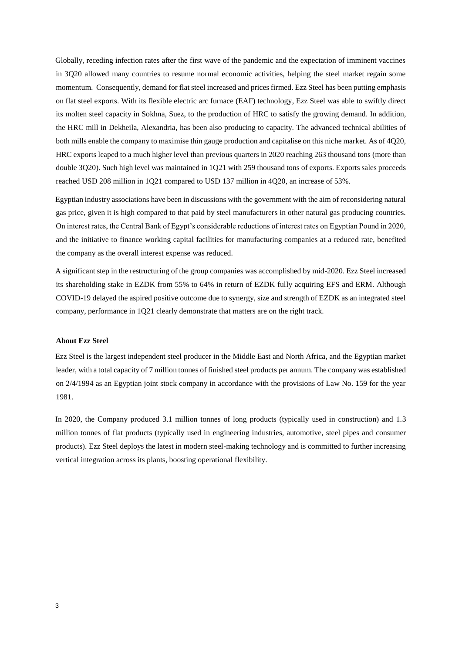Globally, receding infection rates after the first wave of the pandemic and the expectation of imminent vaccines in 3Q20 allowed many countries to resume normal economic activities, helping the steel market regain some momentum. Consequently, demand for flat steel increased and prices firmed. Ezz Steel has been putting emphasis on flat steel exports. With its flexible electric arc furnace (EAF) technology, Ezz Steel was able to swiftly direct its molten steel capacity in Sokhna, Suez, to the production of HRC to satisfy the growing demand. In addition, the HRC mill in Dekheila, Alexandria, has been also producing to capacity. The advanced technical abilities of both mills enable the company to maximise thin gauge production and capitalise on this niche market. As of 4Q20, HRC exports leaped to a much higher level than previous quarters in 2020 reaching 263 thousand tons (more than double 3Q20). Such high level was maintained in 1Q21 with 259 thousand tons of exports. Exports sales proceeds reached USD 208 million in 1Q21 compared to USD 137 million in 4Q20, an increase of 53%.

Egyptian industry associations have been in discussions with the government with the aim of reconsidering natural gas price, given it is high compared to that paid by steel manufacturers in other natural gas producing countries. On interest rates, the Central Bank of Egypt's considerable reductions of interest rates on Egyptian Pound in 2020, and the initiative to finance working capital facilities for manufacturing companies at a reduced rate, benefited the company as the overall interest expense was reduced.

A significant step in the restructuring of the group companies was accomplished by mid-2020. Ezz Steel increased its shareholding stake in EZDK from 55% to 64% in return of EZDK fully acquiring EFS and ERM. Although COVID-19 delayed the aspired positive outcome due to synergy, size and strength of EZDK as an integrated steel company, performance in 1Q21 clearly demonstrate that matters are on the right track.

#### **About Ezz Steel**

Ezz Steel is the largest independent steel producer in the Middle East and North Africa, and the Egyptian market leader, with a total capacity of 7 million tonnes of finished steel products per annum. The company was established on 2/4/1994 as an Egyptian joint stock company in accordance with the provisions of Law No. 159 for the year 1981.

In 2020, the Company produced 3.1 million tonnes of long products (typically used in construction) and 1.3 million tonnes of flat products (typically used in engineering industries, automotive, steel pipes and consumer products). Ezz Steel deploys the latest in modern steel-making technology and is committed to further increasing vertical integration across its plants, boosting operational flexibility.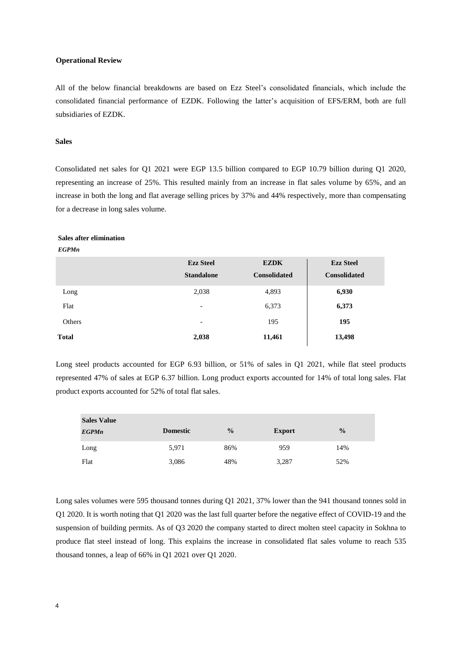#### **Operational Review**

All of the below financial breakdowns are based on Ezz Steel's consolidated financials, which include the consolidated financial performance of EZDK. Following the latter's acquisition of EFS/ERM, both are full subsidiaries of EZDK.

## **Sales**

Consolidated net sales for Q1 2021 were EGP 13.5 billion compared to EGP 10.79 billion during Q1 2020, representing an increase of 25%. This resulted mainly from an increase in flat sales volume by 65%, and an increase in both the long and flat average selling prices by 37% and 44% respectively, more than compensating for a decrease in long sales volume.

#### **Sales after elimination**

#### *EGPMn*

|              | <b>Ezz Steel</b><br><b>Standalone</b> | <b>EZDK</b><br><b>Consolidated</b> | <b>Ezz Steel</b><br><b>Consolidated</b> |
|--------------|---------------------------------------|------------------------------------|-----------------------------------------|
| Long         | 2,038                                 | 4,893                              | 6,930                                   |
| Flat         | $\overline{\phantom{a}}$              | 6,373                              | 6,373                                   |
| Others       | $\overline{\phantom{a}}$              | 195                                | 195                                     |
| <b>Total</b> | 2,038                                 | 11,461                             | 13,498                                  |

Long steel products accounted for EGP 6.93 billion, or 51% of sales in Q1 2021, while flat steel products represented 47% of sales at EGP 6.37 billion. Long product exports accounted for 14% of total long sales. Flat product exports accounted for 52% of total flat sales.

| <b>Sales Value</b> |                 |               |               |               |
|--------------------|-----------------|---------------|---------------|---------------|
| <b>EGPMn</b>       | <b>Domestic</b> | $\frac{0}{2}$ | <b>Export</b> | $\frac{0}{0}$ |
| Long               | 5,971           | 86%           | 959           | 14%           |
| Flat               | 3,086           | 48%           | 3,287         | 52%           |

Long sales volumes were 595 thousand tonnes during Q1 2021, 37% lower than the 941 thousand tonnes sold in Q1 2020. It is worth noting that Q1 2020 was the last full quarter before the negative effect of COVID-19 and the suspension of building permits. As of Q3 2020 the company started to direct molten steel capacity in Sokhna to produce flat steel instead of long. This explains the increase in consolidated flat sales volume to reach 535 thousand tonnes, a leap of 66% in Q1 2021 over Q1 2020.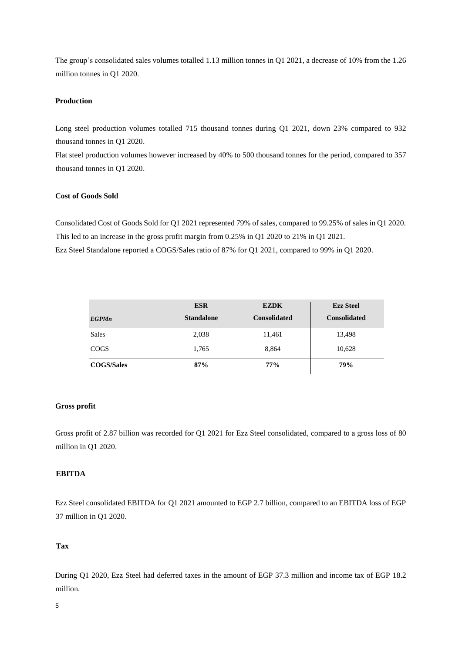The group's consolidated sales volumes totalled 1.13 million tonnes in Q1 2021, a decrease of 10% from the 1.26 million tonnes in Q1 2020.

# **Production**

Long steel production volumes totalled 715 thousand tonnes during Q1 2021, down 23% compared to 932 thousand tonnes in Q1 2020.

Flat steel production volumes however increased by 40% to 500 thousand tonnes for the period, compared to 357 thousand tonnes in Q1 2020.

## **Cost of Goods Sold**

Consolidated Cost of Goods Sold for Q1 2021 represented 79% of sales, compared to 99.25% of sales in Q1 2020. This led to an increase in the gross profit margin from 0.25% in Q1 2020 to 21% in Q1 2021. Ezz Steel Standalone reported a COGS/Sales ratio of 87% for Q1 2021, compared to 99% in Q1 2020.

|                   | <b>ESR</b>        | <b>EZDK</b>         | <b>Ezz Steel</b>    |
|-------------------|-------------------|---------------------|---------------------|
| <b>EGPMn</b>      | <b>Standalone</b> | <b>Consolidated</b> | <b>Consolidated</b> |
| Sales             | 2,038             | 11,461              | 13,498              |
| <b>COGS</b>       | 1,765             | 8,864               | 10,628              |
| <b>COGS/Sales</b> | 87%               | 77%                 | 79%                 |

## **Gross profit**

Gross profit of 2.87 billion was recorded for Q1 2021 for Ezz Steel consolidated, compared to a gross loss of 80 million in Q1 2020.

# **EBITDA**

Ezz Steel consolidated EBITDA for Q1 2021 amounted to EGP 2.7 billion, compared to an EBITDA loss of EGP 37 million in Q1 2020.

## **Tax**

During Q1 2020, Ezz Steel had deferred taxes in the amount of EGP 37.3 million and income tax of EGP 18.2 million.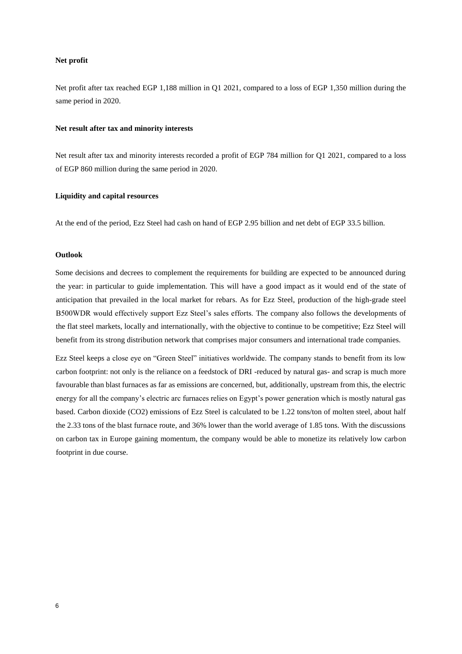### **Net profit**

Net profit after tax reached EGP 1,188 million in Q1 2021, compared to a loss of EGP 1,350 million during the same period in 2020.

#### **Net result after tax and minority interests**

Net result after tax and minority interests recorded a profit of EGP 784 million for Q1 2021, compared to a loss of EGP 860 million during the same period in 2020.

#### **Liquidity and capital resources**

At the end of the period, Ezz Steel had cash on hand of EGP 2.95 billion and net debt of EGP 33.5 billion.

#### **Outlook**

Some decisions and decrees to complement the requirements for building are expected to be announced during the year: in particular to guide implementation. This will have a good impact as it would end of the state of anticipation that prevailed in the local market for rebars. As for Ezz Steel, production of the high-grade steel B500WDR would effectively support Ezz Steel's sales efforts. The company also follows the developments of the flat steel markets, locally and internationally, with the objective to continue to be competitive; Ezz Steel will benefit from its strong distribution network that comprises major consumers and international trade companies.

Ezz Steel keeps a close eye on "Green Steel" initiatives worldwide. The company stands to benefit from its low carbon footprint: not only is the reliance on a feedstock of DRI -reduced by natural gas- and scrap is much more favourable than blast furnaces as far as emissions are concerned, but, additionally, upstream from this, the electric energy for all the company's electric arc furnaces relies on Egypt's power generation which is mostly natural gas based. Carbon dioxide (CO2) emissions of Ezz Steel is calculated to be 1.22 tons/ton of molten steel, about half the 2.33 tons of the blast furnace route, and 36% lower than the world average of 1.85 tons. With the discussions on carbon tax in Europe gaining momentum, the company would be able to monetize its relatively low carbon footprint in due course.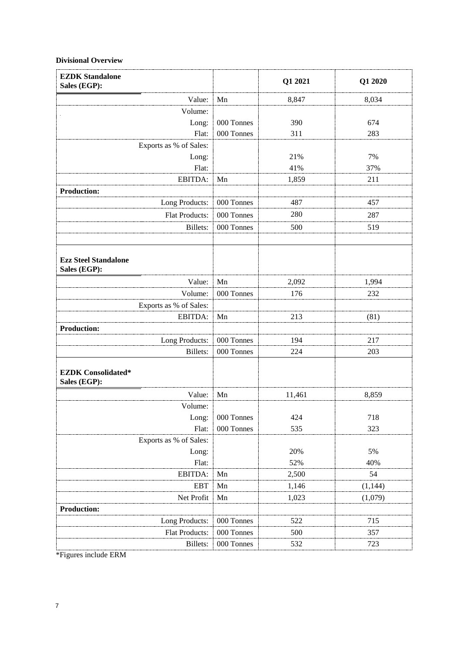## **Divisional Overview**

| <b>EZDK Standalone</b><br>Sales (EGP):      |              | Q1 2021 | Q1 2020  |
|---------------------------------------------|--------------|---------|----------|
| Value:                                      | Mn           | 8,847   | 8,034    |
| Volume:                                     |              |         |          |
| Long:                                       | 000 Tonnes   | 390     | 674      |
| Flat:                                       | 000 Tonnes   | 311     | 283      |
| Exports as % of Sales:                      |              |         |          |
| Long:                                       |              | 21%     | 7%       |
| Flat:                                       |              | 41%     | 37%      |
| EBITDA:                                     | Mn           | 1,859   | 211      |
| <b>Production:</b>                          |              |         |          |
| Long Products:                              | 000 Tonnes   | 487     | 457      |
| Flat Products:                              | 000 Tonnes   | 280     | 287      |
| Billets:                                    | 000 Tonnes   | 500     | 519      |
|                                             |              |         |          |
| <b>Ezz Steel Standalone</b><br>Sales (EGP): |              |         |          |
| Value:                                      | Mn           | 2,092   | 1,994    |
| Volume:                                     | 000 Tonnes   | 176     | 232      |
| Exports as % of Sales:                      |              |         |          |
| EBITDA:                                     | Mn           | 213     | (81)     |
| <b>Production:</b>                          |              |         |          |
| Long Products:                              | 000 Tonnes   | 194     | 217      |
| <b>Billets:</b>                             | 000 Tonnes   | 224     | 203      |
| <b>EZDK</b> Consolidated*<br>Sales (EGP):   |              |         |          |
| Value:                                      | Mn           | 11,461  | 8,859    |
| Volume:                                     |              |         |          |
| Long:                                       | $000$ Tonnes | 424     | 718      |
| Flat:                                       | 000 Tonnes   | 535     | 323      |
| Exports as % of Sales:                      |              |         |          |
| Long:                                       |              | 20%     | 5%       |
| Flat:                                       |              | 52%     | 40%      |
| EBITDA:                                     | Mn           | 2,500   | 54       |
| <b>EBT</b>                                  | Mn           | 1,146   | (1, 144) |
| Net Profit                                  | Mn           | 1,023   | (1,079)  |
| <b>Production:</b>                          |              |         |          |
| Long Products:                              | 000 Tonnes   | 522     | 715      |
| Flat Products:                              | 000 Tonnes   | 500     | 357      |
| Billets:                                    | 000 Tonnes   | 532     | 723      |

\*Figures include ERM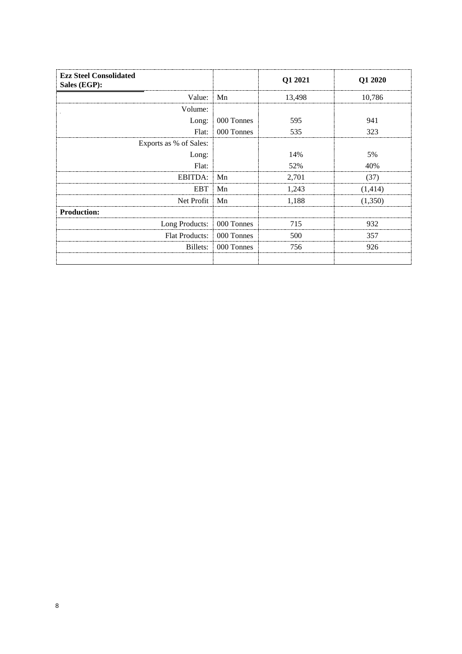| <b>Ezz Steel Consolidated</b><br>Sales (EGP): |            | Q1 2021 | Q1 2020  |
|-----------------------------------------------|------------|---------|----------|
| Value:                                        | Mn         | 13,498  | 10,786   |
| Volume:                                       |            |         |          |
| Long:                                         | 000 Tonnes | 595     | 941      |
| Flat:                                         | 000 Tonnes | 535     | 323      |
| Exports as % of Sales:                        |            |         |          |
| Long:                                         |            | 14%     | 5%       |
| Flat:                                         |            | 52%     | 40%      |
| <b>EBITDA:</b>                                | Mn         | 2,701   | (37)     |
| <b>EBT</b>                                    | Mn         | 1,243   | (1, 414) |
| Net Profit                                    | Mn         | 1,188   | (1,350)  |
| <b>Production:</b>                            |            |         |          |
| Long Products:                                | 000 Tonnes | 715     | 932      |
| <b>Flat Products:</b>                         | 000 Tonnes | 500     | 357      |
| Billets:                                      | 000 Tonnes | 756     | 926      |
|                                               |            |         |          |